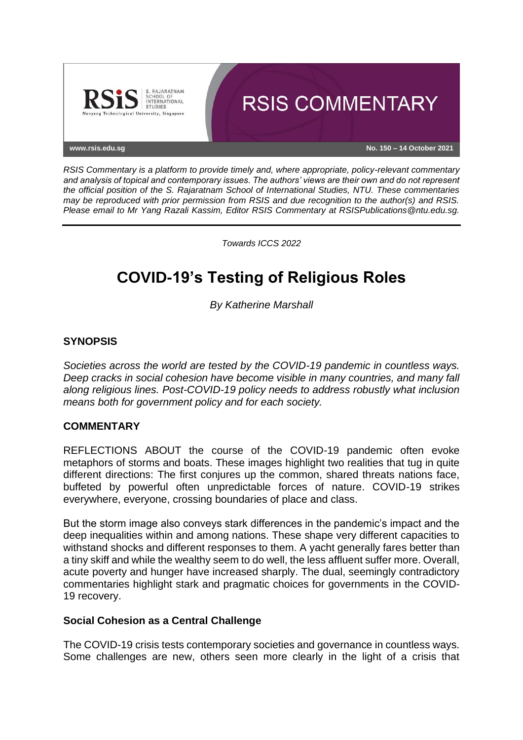

*RSIS Commentary is a platform to provide timely and, where appropriate, policy-relevant commentary and analysis of topical and contemporary issues. The authors' views are their own and do not represent the official position of the S. Rajaratnam School of International Studies, NTU. These commentaries may be reproduced with prior permission from RSIS and due recognition to the author(s) and RSIS. Please email to Mr Yang Razali Kassim, Editor RSIS Commentary at RSISPublications@ntu.edu.sg.*

*Towards ICCS 2022*

# **COVID-19's Testing of Religious Roles**

*By Katherine Marshall*

## **SYNOPSIS**

*Societies across the world are tested by the COVID-19 pandemic in countless ways. Deep cracks in social cohesion have become visible in many countries, and many fall along religious lines. Post-COVID-19 policy needs to address robustly what inclusion means both for government policy and for each society.*

### **COMMENTARY**

REFLECTIONS ABOUT the course of the COVID-19 pandemic often evoke metaphors of storms and boats. These images highlight two realities that tug in quite different directions: The first conjures up the common, shared threats nations face, buffeted by powerful often unpredictable forces of nature. COVID-19 strikes everywhere, everyone, crossing boundaries of place and class.

But the storm image also conveys stark differences in the pandemic's impact and the deep inequalities within and among nations. These shape very different capacities to withstand shocks and different responses to them. A yacht generally fares better than a tiny skiff and while the wealthy seem to do well, the less affluent suffer more. Overall, acute poverty and hunger have increased sharply. The dual, seemingly contradictory commentaries highlight stark and pragmatic choices for governments in the COVID-19 recovery.

### **Social Cohesion as a Central Challenge**

The COVID-19 crisis tests contemporary societies and governance in countless ways. Some challenges are new, others seen more clearly in the light of a crisis that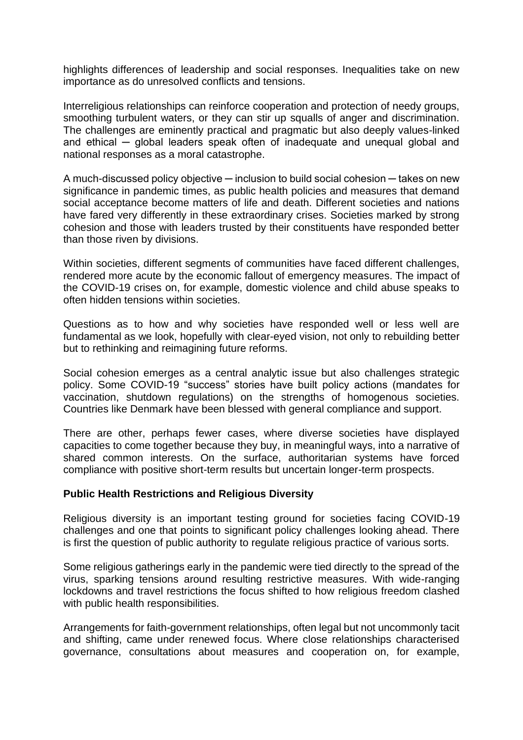highlights differences of leadership and social responses. Inequalities take on new importance as do unresolved conflicts and tensions.

Interreligious relationships can reinforce cooperation and protection of needy groups, smoothing turbulent waters, or they can stir up squalls of anger and discrimination. The challenges are eminently practical and pragmatic but also deeply values-linked and ethical — global leaders speak often of inadequate and unequal global and national responses as a moral catastrophe.

A much-discussed policy objective — inclusion to build social cohesion — takes on new significance in pandemic times, as public health policies and measures that demand social acceptance become matters of life and death. Different societies and nations have fared very differently in these extraordinary crises. Societies marked by strong cohesion and those with leaders trusted by their constituents have responded better than those riven by divisions.

Within societies, different segments of communities have faced different challenges, rendered more acute by the economic fallout of emergency measures. The impact of the COVID-19 crises on, for example, domestic violence and child abuse speaks to often hidden tensions within societies.

Questions as to how and why societies have responded well or less well are fundamental as we look, hopefully with clear-eyed vision, not only to rebuilding better but to rethinking and reimagining future reforms.

Social cohesion emerges as a central analytic issue but also challenges strategic policy. Some COVID-19 "success" stories have built policy actions (mandates for vaccination, shutdown regulations) on the strengths of homogenous societies. Countries like Denmark have been blessed with general compliance and support.

There are other, perhaps fewer cases, where diverse societies have displayed capacities to come together because they buy, in meaningful ways, into a narrative of shared common interests. On the surface, authoritarian systems have forced compliance with positive short-term results but uncertain longer-term prospects.

#### **Public Health Restrictions and Religious Diversity**

Religious diversity is an important testing ground for societies facing COVID-19 challenges and one that points to significant policy challenges looking ahead. There is first the question of public authority to regulate religious practice of various sorts.

Some religious gatherings early in the pandemic were tied directly to the spread of the virus, sparking tensions around resulting restrictive measures. With wide-ranging lockdowns and travel restrictions the focus shifted to how religious freedom clashed with public health responsibilities.

Arrangements for faith-government relationships, often legal but not uncommonly tacit and shifting, came under renewed focus. Where close relationships characterised governance, consultations about measures and cooperation on, for example,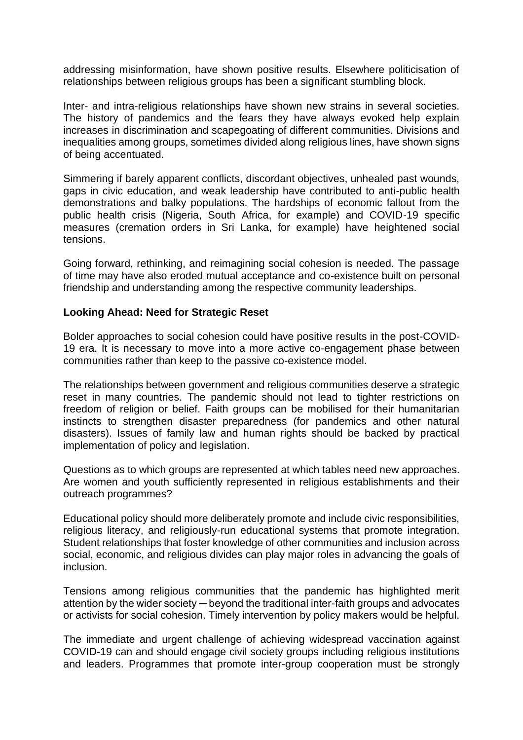addressing misinformation, have shown positive results. Elsewhere politicisation of relationships between religious groups has been a significant stumbling block.

Inter- and intra-religious relationships have shown new strains in several societies. The history of pandemics and the fears they have always evoked help explain increases in discrimination and scapegoating of different communities. Divisions and inequalities among groups, sometimes divided along religious lines, have shown signs of being accentuated.

Simmering if barely apparent conflicts, discordant objectives, unhealed past wounds, gaps in civic education, and weak leadership have contributed to anti-public health demonstrations and balky populations. The hardships of economic fallout from the public health crisis (Nigeria, South Africa, for example) and COVID-19 specific measures (cremation orders in Sri Lanka, for example) have heightened social tensions.

Going forward, rethinking, and reimagining social cohesion is needed. The passage of time may have also eroded mutual acceptance and co-existence built on personal friendship and understanding among the respective community leaderships.

### **Looking Ahead: Need for Strategic Reset**

Bolder approaches to social cohesion could have positive results in the post-COVID-19 era. It is necessary to move into a more active co-engagement phase between communities rather than keep to the passive co-existence model.

The relationships between government and religious communities deserve a strategic reset in many countries. The pandemic should not lead to tighter restrictions on freedom of religion or belief. Faith groups can be mobilised for their humanitarian instincts to strengthen disaster preparedness (for pandemics and other natural disasters). Issues of family law and human rights should be backed by practical implementation of policy and legislation.

Questions as to which groups are represented at which tables need new approaches. Are women and youth sufficiently represented in religious establishments and their outreach programmes?

Educational policy should more deliberately promote and include civic responsibilities, religious literacy, and religiously-run educational systems that promote integration. Student relationships that foster knowledge of other communities and inclusion across social, economic, and religious divides can play major roles in advancing the goals of inclusion.

Tensions among religious communities that the pandemic has highlighted merit attention by the wider society ─ beyond the traditional inter-faith groups and advocates or activists for social cohesion. Timely intervention by policy makers would be helpful.

The immediate and urgent challenge of achieving widespread vaccination against COVID-19 can and should engage civil society groups including religious institutions and leaders. Programmes that promote inter-group cooperation must be strongly